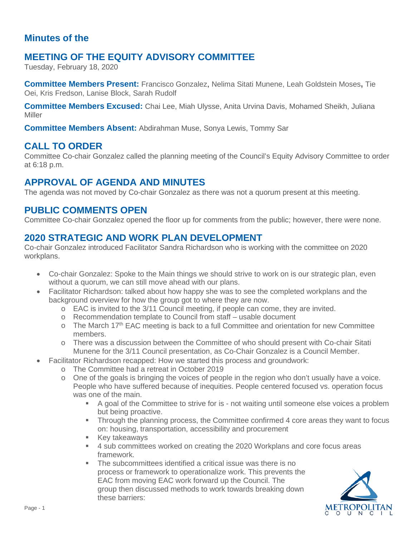### **Minutes of the**

## **MEETING OF THE EQUITY ADVISORY COMMITTEE**

Tuesday, February 18, 2020

**Committee Members Present:** Francisco Gonzalez, Nelima Sitati Munene, Leah Goldstein Moses**,** Tie Oei, Kris Fredson, Lanise Block, Sarah Rudolf

**Committee Members Excused:** Chai Lee, Miah Ulysse, Anita Urvina Davis, Mohamed Sheikh, Juliana Miller

**Committee Members Absent:** Abdirahman Muse, Sonya Lewis, Tommy Sar

#### **CALL TO ORDER**

Committee Co-chair Gonzalez called the planning meeting of the Council's Equity Advisory Committee to order at 6:18 p.m.

# **APPROVAL OF AGENDA AND MINUTES**

The agenda was not moved by Co-chair Gonzalez as there was not a quorum present at this meeting.

## **PUBLIC COMMENTS OPEN**

Committee Co-chair Gonzalez opened the floor up for comments from the public; however, there were none.

## **2020 STRATEGIC AND WORK PLAN DEVELOPMENT**

Co-chair Gonzalez introduced Facilitator Sandra Richardson who is working with the committee on 2020 workplans.

- Co-chair Gonzalez: Spoke to the Main things we should strive to work on is our strategic plan, even without a quorum, we can still move ahead with our plans.
- Facilitator Richardson: talked about how happy she was to see the completed workplans and the background overview for how the group got to where they are now.
	- o EAC is invited to the 3/11 Council meeting, if people can come, they are invited.
	- o Recommendation template to Council from staff usable document
	- $\circ$  The March 17<sup>th</sup> EAC meeting is back to a full Committee and orientation for new Committee members.
	- o There was a discussion between the Committee of who should present with Co-chair Sitati Munene for the 3/11 Council presentation, as Co-Chair Gonzalez is a Council Member.
- Facilitator Richardson recapped: How we started this process and groundwork:
	- o The Committee had a retreat in October 2019
	- o One of the goals is bringing the voices of people in the region who don't usually have a voice. People who have suffered because of inequities. People centered focused vs. operation focus was one of the main.
		- A goal of the Committee to strive for is not waiting until someone else voices a problem but being proactive.
		- Through the planning process, the Committee confirmed 4 core areas they want to focus on: housing, transportation, accessibility and procurement
		- **Key takeaways**
		- 4 sub committees worked on creating the 2020 Workplans and core focus areas framework.
		- The subcommittees identified a critical issue was there is no process or framework to operationalize work. This prevents the EAC from moving EAC work forward up the Council. The group then discussed methods to work towards breaking down these barriers:

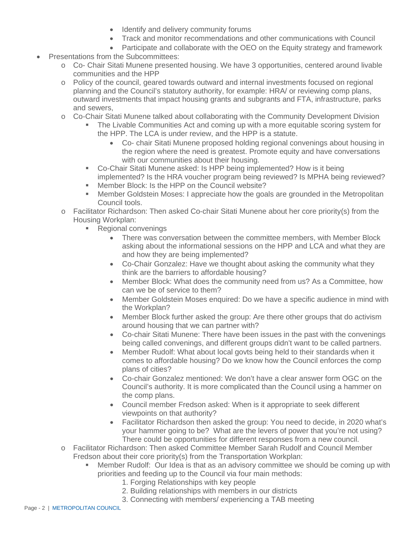- Identify and delivery community forums
- Track and monitor recommendations and other communications with Council
- Participate and collaborate with the OEO on the Equity strategy and framework
- Presentations from the Subcommittees:
	- o Co- Chair Sitati Munene presented housing. We have 3 opportunities, centered around livable communities and the HPP
	- o Policy of the council, geared towards outward and internal investments focused on regional planning and the Council's statutory authority, for example: HRA/ or reviewing comp plans, outward investments that impact housing grants and subgrants and FTA, infrastructure, parks and sewers,
	- o Co-Chair Sitati Munene talked about collaborating with the Community Development Division
		- The Livable Communities Act and coming up with a more equitable scoring system for the HPP. The LCA is under review, and the HPP is a statute.
			- Co- chair Sitati Munene proposed holding regional convenings about housing in the region where the need is greatest. Promote equity and have conversations with our communities about their housing.
		- Co-Chair Sitati Munene asked: Is HPP being implemented? How is it being implemented? Is the HRA voucher program being reviewed? Is MPHA being reviewed?
		- **Member Block: Is the HPP on the Council website?**
		- **Member Goldstein Moses: I appreciate how the goals are grounded in the Metropolitan** Council tools.
	- o Facilitator Richardson: Then asked Co-chair Sitati Munene about her core priority(s) from the Housing Workplan:
		- **Regional convenings** 
			- There was conversation between the committee members, with Member Block asking about the informational sessions on the HPP and LCA and what they are and how they are being implemented?
			- Co-Chair Gonzalez: Have we thought about asking the community what they think are the barriers to affordable housing?
			- Member Block: What does the community need from us? As a Committee, how can we be of service to them?
			- Member Goldstein Moses enquired: Do we have a specific audience in mind with the Workplan?
			- Member Block further asked the group: Are there other groups that do activism around housing that we can partner with?
			- Co-chair Sitati Munene: There have been issues in the past with the convenings being called convenings, and different groups didn't want to be called partners.
			- Member Rudolf: What about local govts being held to their standards when it comes to affordable housing? Do we know how the Council enforces the comp plans of cities?
			- Co-chair Gonzalez mentioned: We don't have a clear answer form OGC on the Council's authority. It is more complicated than the Council using a hammer on the comp plans.
			- Council member Fredson asked: When is it appropriate to seek different viewpoints on that authority?
			- Facilitator Richardson then asked the group: You need to decide, in 2020 what's your hammer going to be? What are the levers of power that you're not using? There could be opportunities for different responses from a new council.
	- o Facilitator Richardson: Then asked Committee Member Sarah Rudolf and Council Member Fredson about their core priority(s) from the Transportation Workplan:
		- Member Rudolf: Our Idea is that as an advisory committee we should be coming up with priorities and feeding up to the Council via four main methods:
			- 1. Forging Relationships with key people
			- 2. Building relationships with members in our districts
			- 3. Connecting with members/ experiencing a TAB meeting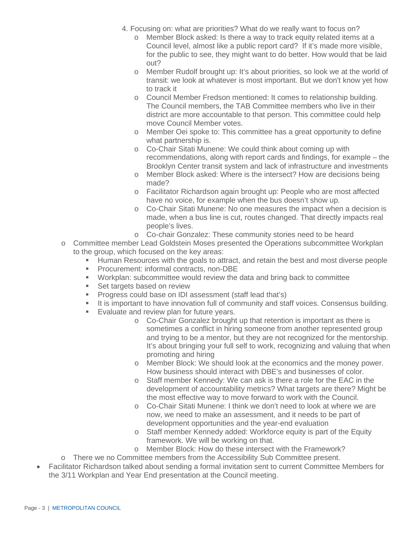- 4. Focusing on: what are priorities? What do we really want to focus on?
	- o Member Block asked: Is there a way to track equity related items at a Council level, almost like a public report card? If it's made more visible, for the public to see, they might want to do better. How would that be laid out?
	- o Member Rudolf brought up: It's about priorities, so look we at the world of transit: we look at whatever is most important. But we don't know yet how to track it
	- o Council Member Fredson mentioned: It comes to relationship building. The Council members, the TAB Committee members who live in their district are more accountable to that person. This committee could help move Council Member votes.
	- o Member Oei spoke to: This committee has a great opportunity to define what partnership is.
	- o Co-Chair Sitati Munene: We could think about coming up with recommendations, along with report cards and findings, for example – the Brooklyn Center transit system and lack of infrastructure and investments
	- o Member Block asked: Where is the intersect? How are decisions being made?
	- o Facilitator Richardson again brought up: People who are most affected have no voice, for example when the bus doesn't show up.
	- o Co-Chair Sitati Munene: No one measures the impact when a decision is made, when a bus line is cut, routes changed. That directly impacts real people's lives.
	- o Co-chair Gonzalez: These community stories need to be heard
- o Committee member Lead Goldstein Moses presented the Operations subcommittee Workplan to the group, which focused on the key areas:
	- Human Resources with the goals to attract, and retain the best and most diverse people
	- **Procurement: informal contracts, non-DBE**
	- Workplan: subcommittee would review the data and bring back to committee
	- Set targets based on review
	- **Progress could base on IDI assessment (staff lead that's)**
	- It is important to have innovation full of community and staff voices. Consensus building.
	- **Evaluate and review plan for future years.** 
		- o Co-Chair Gonzalez brought up that retention is important as there is sometimes a conflict in hiring someone from another represented group and trying to be a mentor, but they are not recognized for the mentorship. It's about bringing your full self to work, recognizing and valuing that when promoting and hiring
		- o Member Block: We should look at the economics and the money power. How business should interact with DBE's and businesses of color.
		- o Staff member Kennedy: We can ask is there a role for the EAC in the development of accountability metrics? What targets are there? Might be the most effective way to move forward to work with the Council.
		- o Co-Chair Sitati Munene: I think we don't need to look at where we are now, we need to make an assessment, and it needs to be part of development opportunities and the year-end evaluation
		- o Staff member Kennedy added: Workforce equity is part of the Equity framework. We will be working on that.
		- o Member Block: How do these intersect with the Framework?
- o There we no Committee members from the Accessibility Sub Committee present.
- Facilitator Richardson talked about sending a formal invitation sent to current Committee Members for the 3/11 Workplan and Year End presentation at the Council meeting.